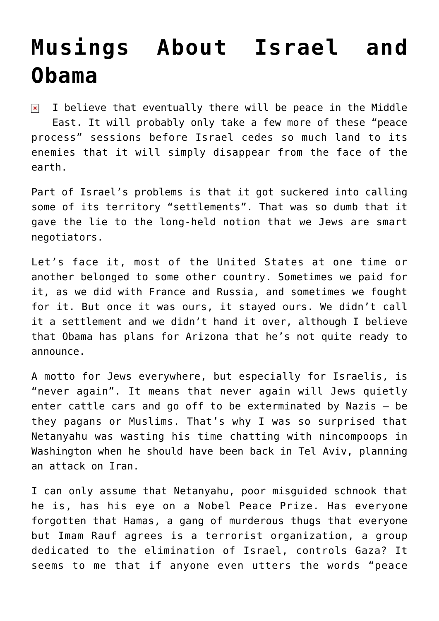## **[Musings About Israel and](https://bernardgoldberg.com/musings-about-israel-and-obama/) [Obama](https://bernardgoldberg.com/musings-about-israel-and-obama/)**

I believe that eventually there will be peace in the Middle  $\pmb{\times}$ East. It will probably only take a few more of these "peace process" sessions before Israel cedes so much land to its enemies that it will simply disappear from the face of the earth.

Part of Israel's problems is that it got suckered into calling some of its territory "settlements". That was so dumb that it gave the lie to the long-held notion that we Jews are smart negotiators.

Let's face it, most of the United States at one time or another belonged to some other country. Sometimes we paid for it, as we did with France and Russia, and sometimes we fought for it. But once it was ours, it stayed ours. We didn't call it a settlement and we didn't hand it over, although I believe that Obama has plans for Arizona that he's not quite ready to announce.

A motto for Jews everywhere, but especially for Israelis, is "never again". It means that never again will Jews quietly enter cattle cars and go off to be exterminated by Nazis — be they pagans or Muslims. That's why I was so surprised that Netanyahu was wasting his time chatting with nincompoops in Washington when he should have been back in Tel Aviv, planning an attack on Iran.

I can only assume that Netanyahu, poor misguided schnook that he is, has his eye on a Nobel Peace Prize. Has everyone forgotten that Hamas, a gang of murderous thugs that everyone but Imam Rauf agrees is a terrorist organization, a group dedicated to the elimination of Israel, controls Gaza? It seems to me that if anyone even utters the words "peace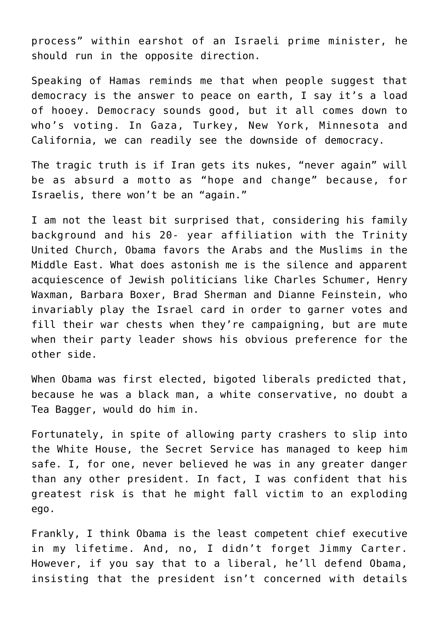process" within earshot of an Israeli prime minister, he should run in the opposite direction.

Speaking of Hamas reminds me that when people suggest that democracy is the answer to peace on earth, I say it's a load of hooey. Democracy sounds good, but it all comes down to who's voting. In Gaza, Turkey, New York, Minnesota and California, we can readily see the downside of democracy.

The tragic truth is if Iran gets its nukes, "never again" will be as absurd a motto as "hope and change" because, for Israelis, there won't be an "again."

I am not the least bit surprised that, considering his family background and his 20- year affiliation with the Trinity United Church, Obama favors the Arabs and the Muslims in the Middle East. What does astonish me is the silence and apparent acquiescence of Jewish politicians like Charles Schumer, Henry Waxman, Barbara Boxer, Brad Sherman and Dianne Feinstein, who invariably play the Israel card in order to garner votes and fill their war chests when they're campaigning, but are mute when their party leader shows his obvious preference for the other side.

When Obama was first elected, bigoted liberals predicted that, because he was a black man, a white conservative, no doubt a Tea Bagger, would do him in.

Fortunately, in spite of allowing party crashers to slip into the White House, the Secret Service has managed to keep him safe. I, for one, never believed he was in any greater danger than any other president. In fact, I was confident that his greatest risk is that he might fall victim to an exploding ego.

Frankly, I think Obama is the least competent chief executive in my lifetime. And, no, I didn't forget Jimmy Carter. However, if you say that to a liberal, he'll defend Obama, insisting that the president isn't concerned with details